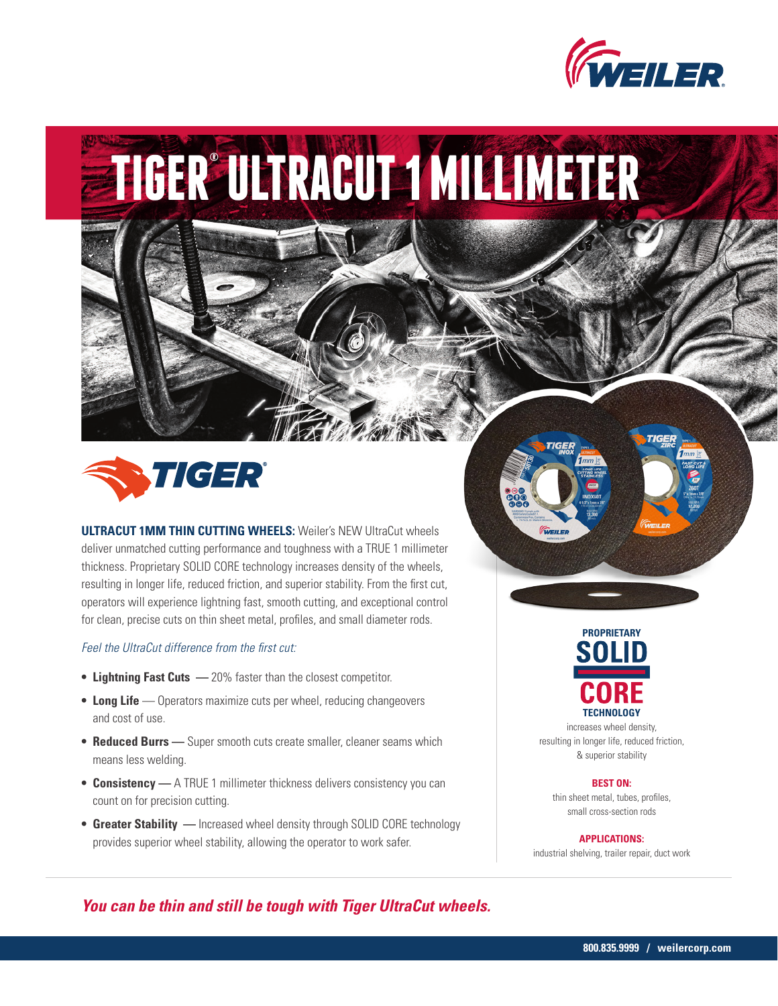

# **TIGER® ULTRACUT 1 MILLIMETER**



**ULTRACUT 1MM THIN CUTTING WHEELS:** Weiler's NEW UltraCut wheels deliver unmatched cutting performance and toughness with a TRUE 1 millimeter thickness. Proprietary SOLID CORE technology increases density of the wheels, resulting in longer life, reduced friction, and superior stability. From the first cut, operators will experience lightning fast, smooth cutting, and exceptional control for clean, precise cuts on thin sheet metal, profiles, and small diameter rods.

## *Feel the UltraCut difference from the first cut:*

- **• Lightning Fast Cuts** 20% faster than the closest competitor.
- **Long Life** Operators maximize cuts per wheel, reducing changeovers and cost of use.
- **• Reduced Burrs —** Super smooth cuts create smaller, cleaner seams which means less welding.
- **• Consistency —** A TRUE 1 millimeter thickness delivers consistency you can count on for precision cutting.
- **• Greater Stability —** Increased wheel density through SOLID CORE technology provides superior wheel stability, allowing the operator to work safer.





increases wheel density, resulting in longer life, reduced friction, & superior stability

**BEST ON:**

thin sheet metal, tubes, profiles, small cross-section rods

#### **APPLICATIONS:**

industrial shelving, trailer repair, duct work

*You can be thin and still be tough with Tiger UltraCut wheels.*